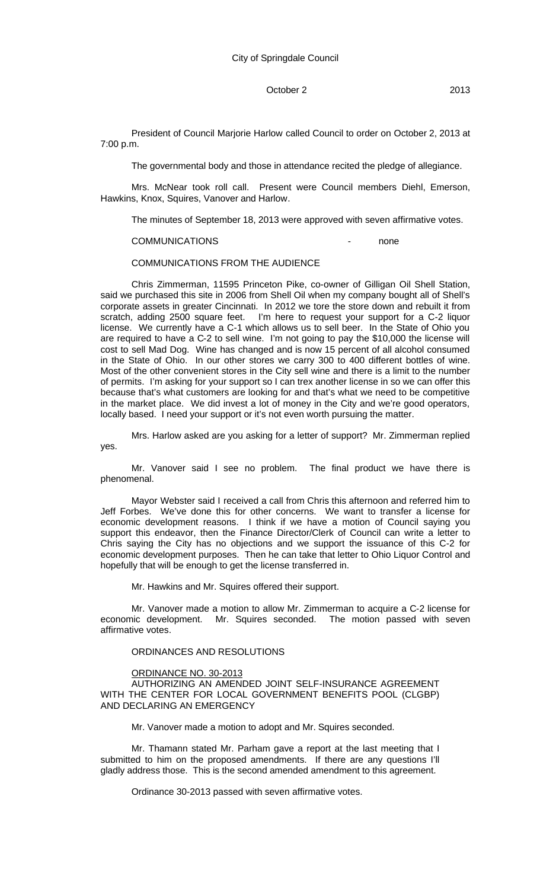# October 2 2013

President of Council Marjorie Harlow called Council to order on October 2, 2013 at 7:00 p.m.

The governmental body and those in attendance recited the pledge of allegiance.

Mrs. McNear took roll call. Present were Council members Diehl, Emerson, Hawkins, Knox, Squires, Vanover and Harlow.

The minutes of September 18, 2013 were approved with seven affirmative votes.

#### COMMUNICATIONS - none

COMMUNICATIONS FROM THE AUDIENCE

Chris Zimmerman, 11595 Princeton Pike, co-owner of Gilligan Oil Shell Station, said we purchased this site in 2006 from Shell Oil when my company bought all of Shell's corporate assets in greater Cincinnati. In 2012 we tore the store down and rebuilt it from scratch, adding 2500 square feet. I'm here to request your support for a C-2 liquor license. We currently have a C-1 which allows us to sell beer. In the State of Ohio you are required to have a C-2 to sell wine. I'm not going to pay the \$10,000 the license will cost to sell Mad Dog. Wine has changed and is now 15 percent of all alcohol consumed in the State of Ohio. In our other stores we carry 300 to 400 different bottles of wine. Most of the other convenient stores in the City sell wine and there is a limit to the number of permits. I'm asking for your support so I can trex another license in so we can offer this because that's what customers are looking for and that's what we need to be competitive in the market place. We did invest a lot of money in the City and we're good operators, locally based. I need your support or it's not even worth pursuing the matter.

Mrs. Harlow asked are you asking for a letter of support? Mr. Zimmerman replied yes.

Mr. Vanover said I see no problem. The final product we have there is phenomenal.

Mayor Webster said I received a call from Chris this afternoon and referred him to Jeff Forbes. We've done this for other concerns. We want to transfer a license for economic development reasons. I think if we have a motion of Council saying you support this endeavor, then the Finance Director/Clerk of Council can write a letter to Chris saying the City has no objections and we support the issuance of this C-2 for economic development purposes. Then he can take that letter to Ohio Liquor Control and hopefully that will be enough to get the license transferred in.

Mr. Hawkins and Mr. Squires offered their support.

Mr. Vanover made a motion to allow Mr. Zimmerman to acquire a C-2 license for economic development. Mr. Squires seconded. The motion passed with seven affirmative votes.

# ORDINANCES AND RESOLUTIONS

#### ORDINANCE NO. 30-2013

AUTHORIZING AN AMENDED JOINT SELF-INSURANCE AGREEMENT WITH THE CENTER FOR LOCAL GOVERNMENT BENEFITS POOL (CLGBP) AND DECLARING AN EMERGENCY

Mr. Vanover made a motion to adopt and Mr. Squires seconded.

Mr. Thamann stated Mr. Parham gave a report at the last meeting that I submitted to him on the proposed amendments. If there are any questions I'll gladly address those. This is the second amended amendment to this agreement.

Ordinance 30-2013 passed with seven affirmative votes.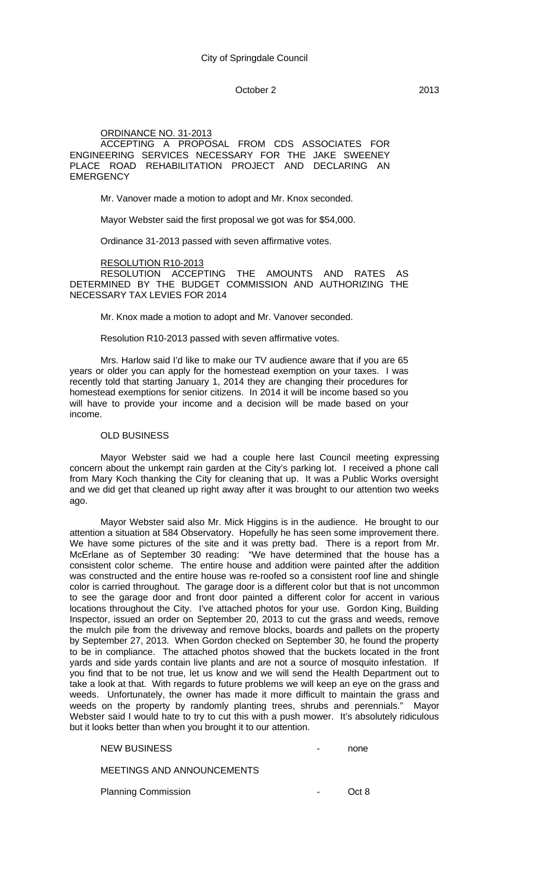## October 2 2013

#### ORDINANCE NO. 31-2013

ACCEPTING A PROPOSAL FROM CDS ASSOCIATES FOR ENGINEERING SERVICES NECESSARY FOR THE JAKE SWEENEY PLACE ROAD REHABILITATION PROJECT AND DECLARING AN **EMERGENCY** 

Mr. Vanover made a motion to adopt and Mr. Knox seconded.

Mayor Webster said the first proposal we got was for \$54,000.

Ordinance 31-2013 passed with seven affirmative votes.

RESOLUTION R10-2013

RESOLUTION ACCEPTING THE AMOUNTS AND RATES AS DETERMINED BY THE BUDGET COMMISSION AND AUTHORIZING THE NECESSARY TAX LEVIES FOR 2014

Mr. Knox made a motion to adopt and Mr. Vanover seconded.

Resolution R10-2013 passed with seven affirmative votes.

Mrs. Harlow said I'd like to make our TV audience aware that if you are 65 years or older you can apply for the homestead exemption on your taxes. I was recently told that starting January 1, 2014 they are changing their procedures for homestead exemptions for senior citizens. In 2014 it will be income based so you will have to provide your income and a decision will be made based on your income.

## OLD BUSINESS

Mayor Webster said we had a couple here last Council meeting expressing concern about the unkempt rain garden at the City's parking lot. I received a phone call from Mary Koch thanking the City for cleaning that up. It was a Public Works oversight and we did get that cleaned up right away after it was brought to our attention two weeks ago.

Mayor Webster said also Mr. Mick Higgins is in the audience. He brought to our attention a situation at 584 Observatory. Hopefully he has seen some improvement there. We have some pictures of the site and it was pretty bad. There is a report from Mr. McErlane as of September 30 reading: "We have determined that the house has a consistent color scheme. The entire house and addition were painted after the addition was constructed and the entire house was re-roofed so a consistent roof line and shingle color is carried throughout. The garage door is a different color but that is not uncommon to see the garage door and front door painted a different color for accent in various locations throughout the City. I've attached photos for your use. Gordon King, Building Inspector, issued an order on September 20, 2013 to cut the grass and weeds, remove the mulch pile from the driveway and remove blocks, boards and pallets on the property by September 27, 2013. When Gordon checked on September 30, he found the property to be in compliance. The attached photos showed that the buckets located in the front yards and side yards contain live plants and are not a source of mosquito infestation. If you find that to be not true, let us know and we will send the Health Department out to take a look at that. With regards to future problems we will keep an eye on the grass and weeds. Unfortunately, the owner has made it more difficult to maintain the grass and weeds on the property by randomly planting trees, shrubs and perennials." Mavor weeds on the property by randomly planting trees, shrubs and perennials." Webster said I would hate to try to cut this with a push mower. It's absolutely ridiculous but it looks better than when you brought it to our attention.

| NEW BUSINESS               |                  | none  |
|----------------------------|------------------|-------|
| MEETINGS AND ANNOUNCEMENTS |                  |       |
| <b>Planning Commission</b> | $\sim$ 100 $\mu$ | Oct 8 |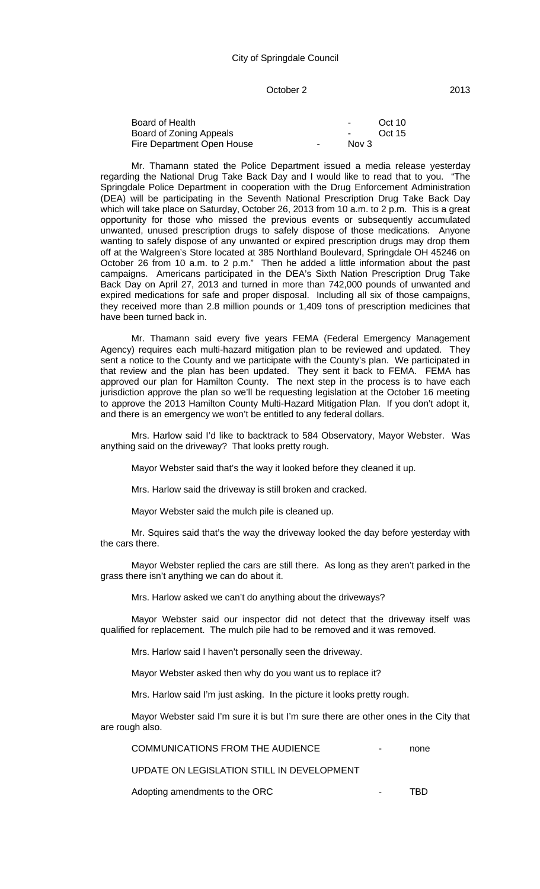### October 2 2013

| Board of Health            |        | $\sim$        | Oct 10 |
|----------------------------|--------|---------------|--------|
| Board of Zoning Appeals    |        | $\sim$ $\sim$ | Oct 15 |
| Fire Department Open House | $\sim$ | Nov 3         |        |

Mr. Thamann stated the Police Department issued a media release yesterday regarding the National Drug Take Back Day and I would like to read that to you. "The Springdale Police Department in cooperation with the Drug Enforcement Administration (DEA) will be participating in the Seventh National Prescription Drug Take Back Day which will take place on Saturday, October 26, 2013 from 10 a.m. to 2 p.m. This is a great opportunity for those who missed the previous events or subsequently accumulated unwanted, unused prescription drugs to safely dispose of those medications. Anyone wanting to safely dispose of any unwanted or expired prescription drugs may drop them off at the Walgreen's Store located at 385 Northland Boulevard, Springdale OH 45246 on October 26 from 10 a.m. to 2 p.m." Then he added a little information about the past campaigns. Americans participated in the DEA's Sixth Nation Prescription Drug Take Back Day on April 27, 2013 and turned in more than 742,000 pounds of unwanted and expired medications for safe and proper disposal. Including all six of those campaigns, they received more than 2.8 million pounds or 1,409 tons of prescription medicines that have been turned back in.

Mr. Thamann said every five years FEMA (Federal Emergency Management Agency) requires each multi-hazard mitigation plan to be reviewed and updated. They sent a notice to the County and we participate with the County's plan. We participated in that review and the plan has been updated. They sent it back to FEMA. FEMA has approved our plan for Hamilton County. The next step in the process is to have each jurisdiction approve the plan so we'll be requesting legislation at the October 16 meeting to approve the 2013 Hamilton County Multi-Hazard Mitigation Plan. If you don't adopt it, and there is an emergency we won't be entitled to any federal dollars.

Mrs. Harlow said I'd like to backtrack to 584 Observatory, Mayor Webster. Was anything said on the driveway? That looks pretty rough.

Mayor Webster said that's the way it looked before they cleaned it up.

Mrs. Harlow said the driveway is still broken and cracked.

Mayor Webster said the mulch pile is cleaned up.

Mr. Squires said that's the way the driveway looked the day before yesterday with the cars there.

Mayor Webster replied the cars are still there. As long as they aren't parked in the grass there isn't anything we can do about it.

Mrs. Harlow asked we can't do anything about the driveways?

Mayor Webster said our inspector did not detect that the driveway itself was qualified for replacement. The mulch pile had to be removed and it was removed.

Mrs. Harlow said I haven't personally seen the driveway.

Mayor Webster asked then why do you want us to replace it?

Mrs. Harlow said I'm just asking. In the picture it looks pretty rough.

Mayor Webster said I'm sure it is but I'm sure there are other ones in the City that are rough also.

| COMMUNICATIONS FROM THE AUDIENCE |  |  |
|----------------------------------|--|--|
|----------------------------------|--|--|

UPDATE ON LEGISLATION STILL IN DEVELOPMENT

Adopting amendments to the ORC TBD